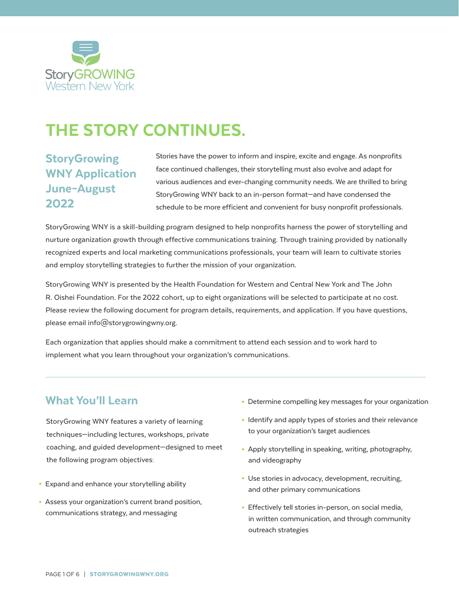

# THE STORY CONTINUES.

### **StoryGrowing** WNY Application June–August 2022

Stories have the power to inform and inspire, excite and engage. As nonprofits face continued challenges, their storytelling must also evolve and adapt for various audiences and ever-changing community needs. We are thrilled to bring StoryGrowing WNY back to an in-person format—and have condensed the schedule to be more efficient and convenient for busy nonprofit professionals.

StoryGrowing WNY is a skill-building program designed to help nonprofits harness the power of storytelling and nurture organization growth through effective communications training. Through training provided by nationally recognized experts and local marketing communications professionals, your team will learn to cultivate stories and employ storytelling strategies to further the mission of your organization.

StoryGrowing WNY is presented by the Health Foundation for Western and Central New York and The John R. Oishei Foundation. For the 2022 cohort, up to eight organizations will be selected to participate at no cost. Please review the following document for program details, requirements, and application. If you have questions, please email info@storygrowingwny.org.

Each organization that applies should make a commitment to attend each session and to work hard to implement what you learn throughout your organization's communications.

### What You'll Learn

 StoryGrowing WNY features a variety of learning techniques—including lectures, workshops, private coaching, and guided development—designed to meet the following program objectives:

- Expand and enhance your storytelling ability
- Assess your organization's current brand position, communications strategy, and messaging
- Determine compelling key messages for your organization
- Identify and apply types of stories and their relevance to your organization's target audiences
- Apply storytelling in speaking, writing, photography, and videography
- Use stories in advocacy, development, recruiting, and other primary communications
- Effectively tell stories in-person, on social media, in written communication, and through community outreach strategies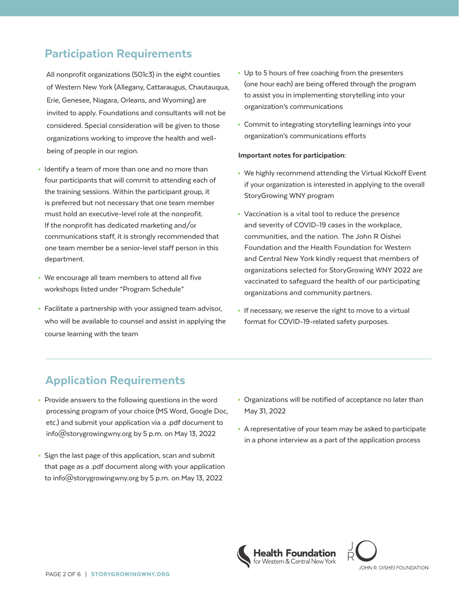### Participation Requirements

 All nonprofit organizations (501c3) in the eight counties of Western New York (Allegany, Cattaraugus, Chautauqua, Erie, Genesee, Niagara, Orleans, and Wyoming) are invited to apply. Foundations and consultants will not be considered. Special consideration will be given to those organizations working to improve the health and wellbeing of people in our region.

- Identify a team of more than one and no more than four participants that will commit to attending each of the training sessions. Within the participant group, it is preferred but not necessary that one team member must hold an executive-level role at the nonprofit. If the nonprofit has dedicated marketing and/or communications staff, it is strongly recommended that one team member be a senior-level staff person in this department.
- We encourage all team members to attend all five workshops listed under "Program Schedule"
- Facilitate a partnership with your assigned team advisor, who will be available to counsel and assist in applying the course learning with the team
- Up to 5 hours of free coaching from the presenters (one hour each) are being offered through the program to assist you in implementing storytelling into your organization's communications
- Commit to integrating storytelling learnings into your organization's communications efforts

#### Important notes for participation:

- We highly recommend attending the Virtual Kickoff Event if your organization is interested in applying to the overall StoryGrowing WNY program
- Vaccination is a vital tool to reduce the presence and severity of COVID-19 cases in the workplace, communities, and the nation. The John R Oishei Foundation and the Health Foundation for Western and Central New York kindly request that members of organizations selected for StoryGrowing WNY 2022 are vaccinated to safeguard the health of our participating organizations and community partners.
- If necessary, we reserve the right to move to a virtual format for COVID-19-related safety purposes.

### Application Requirements

- Provide answers to the following questions in the word processing program of your choice (MS Word, Google Doc, etc.) and submit your application via a .pdf document to info@storygrowingwny.org by 5 p.m. on May 13, 2022
- Sign the last page of this application, scan and submit that page as a .pdf document along with your application to info@storygrowingwny.org by 5 p.m. on May 13, 2022
- Organizations will be notified of acceptance no later than May 31, 2022
- A representative of your team may be asked to participate in a phone interview as a part of the application process



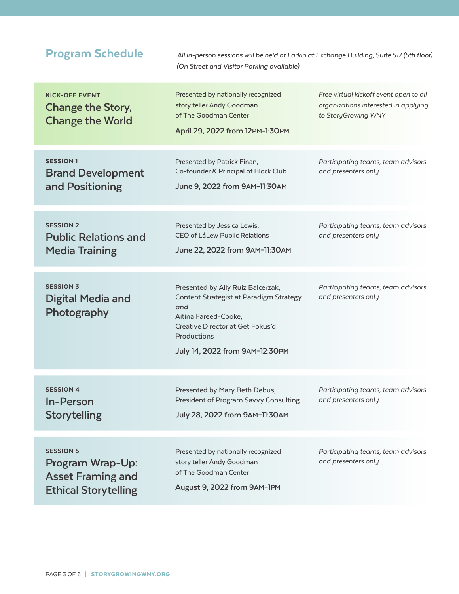| <b>Program Schedule</b>                                                                         | All in-person sessions will be held at Larkin at Exchange Building, Suite 517 (5th floor)<br>(On Street and Visitor Parking available)                                                           |                                                                                                       |
|-------------------------------------------------------------------------------------------------|--------------------------------------------------------------------------------------------------------------------------------------------------------------------------------------------------|-------------------------------------------------------------------------------------------------------|
| <b>KICK-OFF EVENT</b><br><b>Change the Story,</b><br><b>Change the World</b>                    | Presented by nationally recognized<br>story teller Andy Goodman<br>of The Goodman Center<br>April 29, 2022 from 12PM-1:30PM                                                                      | Free virtual kickoff event open to all<br>organizations interested in applying<br>to StoryGrowing WNY |
| <b>SESSION 1</b><br><b>Brand Development</b><br>and Positioning                                 | Presented by Patrick Finan,<br>Co-founder & Principal of Block Club<br>June 9, 2022 from 9AM-11:30AM                                                                                             | Participating teams, team advisors<br>and presenters only                                             |
| <b>SESSION 2</b><br><b>Public Relations and</b><br><b>Media Training</b>                        | Presented by Jessica Lewis,<br>CEO of LáLew Public Relations<br>June 22, 2022 from 9AM-11:30AM                                                                                                   | Participating teams, team advisors<br>and presenters only                                             |
| <b>SESSION 3</b><br>Digital Media and<br>Photography                                            | Presented by Ally Ruiz Balcerzak,<br>Content Strategist at Paradigm Strategy<br>and<br>Aitina Fareed-Cooke,<br>Creative Director at Get Fokus'd<br>Productions<br>July 14, 2022 from 9AM-12:30PM | Participating teams, team advisors<br>and presenters only                                             |
| <b>SESSION 4</b><br>In-Person<br><b>Storytelling</b>                                            | Presented by Mary Beth Debus,<br>President of Program Savvy Consulting<br>July 28, 2022 from 9AM-11:30AM                                                                                         | Participating teams, team advisors<br>and presenters only                                             |
| <b>SESSION 5</b><br>Program Wrap-Up:<br><b>Asset Framing and</b><br><b>Ethical Storytelling</b> | Presented by nationally recognized<br>story teller Andy Goodman<br>of The Goodman Center<br>August 9, 2022 from 9AM-1PM                                                                          | Participating teams, team advisors<br>and presenters only                                             |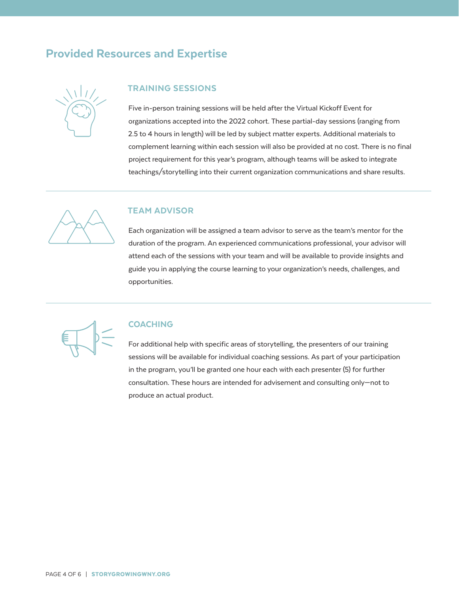### Provided Resources and Expertise



#### TRAINING SESSIONS

Five in-person training sessions will be held after the Virtual Kickoff Event for organizations accepted into the 2022 cohort. These partial-day sessions (ranging from 2.5 to 4 hours in length) will be led by subject matter experts. Additional materials to complement learning within each session will also be provided at no cost. There is no final project requirement for this year's program, although teams will be asked to integrate teachings/storytelling into their current organization communications and share results.



#### TEAM ADVISOR

Each organization will be assigned a team advisor to serve as the team's mentor for the duration of the program. An experienced communications professional, your advisor will attend each of the sessions with your team and will be available to provide insights and guide you in applying the course learning to your organization's needs, challenges, and opportunities.



#### COACHING

For additional help with specific areas of storytelling, the presenters of our training sessions will be available for individual coaching sessions. As part of your participation in the program, you'll be granted one hour each with each presenter (5) for further consultation. These hours are intended for advisement and consulting only—not to produce an actual product.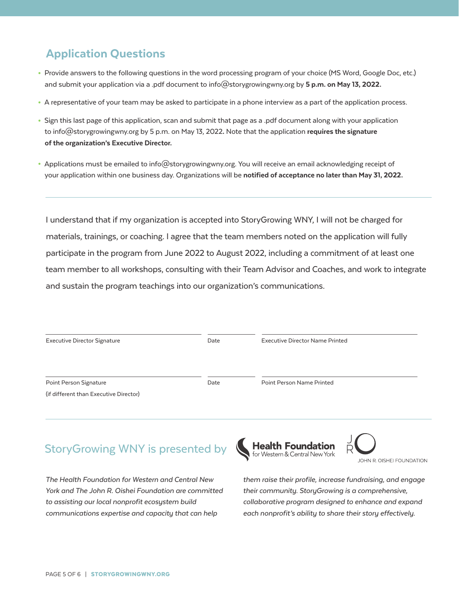### Application Questions

- Provide answers to the following questions in the word processing program of your choice (MS Word, Google Doc, etc.) and submit your application via a .pdf document to info@storygrowingwny.org by 5 p.m. on May 13, 2022.
- A representative of your team may be asked to participate in a phone interview as a part of the application process.
- Sign this last page of this application, scan and submit that page as a .pdf document along with your application to info@storygrowingwny.org by 5 p.m. on May 13, 2022. Note that the application requires the signature of the organization's Executive Director.
- Applications must be emailed to info@storygrowingwny.org. You will receive an email acknowledging receipt of your application within one business day. Organizations will be notified of acceptance no later than May 31, 2022.

I understand that if my organization is accepted into StoryGrowing WNY, I will not be charged for materials, trainings, or coaching. I agree that the team members noted on the application will fully participate in the program from June 2022 to August 2022, including a commitment of at least one team member to all workshops, consulting with their Team Advisor and Coaches, and work to integrate and sustain the program teachings into our organization's communications.

| <b>Executive Director Signature</b>    | Date | <b>Executive Director Name Printed</b> |  |
|----------------------------------------|------|----------------------------------------|--|
| Point Person Signature                 | Date | Point Person Name Printed              |  |
| (if different than Executive Director) |      |                                        |  |

## StoryGrowing WNY is presented by

*The Health Foundation for Western and Central New York and The John R. Oishei Foundation are committed to assisting our local nonprofit ecosystem build communications expertise and capacity that can help* 





*them raise their profile, increase fundraising, and engage their community. StoryGrowing is a comprehensive, collaborative program designed to enhance and expand each nonprofit's ability to share their story effectively.*